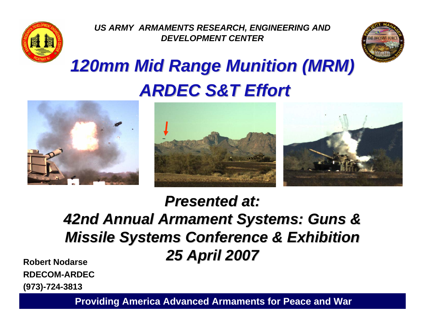

*US ARMY ARMAMENTS RESEARCH, ENGINEERING AND DEVELOPMENT CENTER*



# *120mm Mid Range Munition (MRM) 120mm Mid Range Munition (MRM) ARDEC S&T Effort ARDEC S&T Effort*



#### *Presented at: Presented at:*

### *42nd Annual Armament Systems: Guns & 42nd Annual Armament Systems: Guns & Missile Systems Conference & Exhibition Missile Systems Conference & Exhibition 25 April 2007 25 April 2007*

**Robert NodarseRDECOM-ARDEC(973)-724-3813**

**Providing America Advanced Armaments for Peace and War**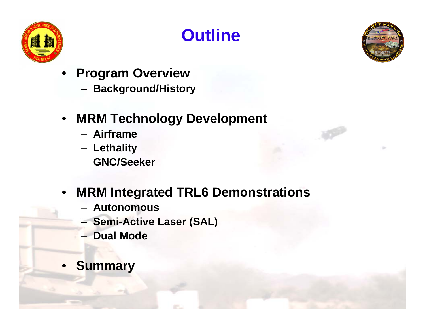





- **Program Overview**
	- **Background/History**
- **MRM Technology Development** 
	- **Airframe**
	- **Lethality**
	- **GNC/Seeker**
- **MRM Integrated TRL6 Demonstrations**
	- **Autonomous**
	- **Semi-Active Laser (SAL)**
	- **Dual Mode**
- •**Summary**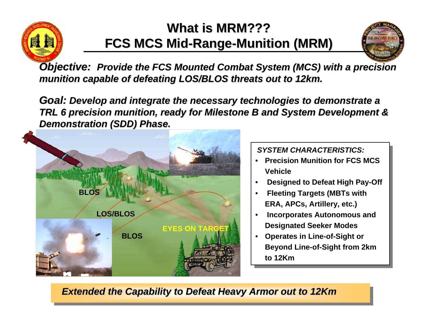

#### **What is MRM??? What is MRM???FCS MCS Mid FCS MCS Mid-Range-Munition (MRM) Munition (MRM)**



*Objective: Provide the FCS Mounted Combat System (MCS) with a precision munition capable of defeating LOS/BLOS threats out to 12km. munition capable of defeating LOS/BLOS threats out to 12km.*

*Goal: Develop and integrate the necessary technologies to demonstrate a TRL 6 precision munition, ready for Milestone B and System Development & Demonstration (SDD) Phase. Demonstration (SDD) Phase.*



#### *SYSTEM CHARACTERISTICS:SYSTEM CHARACTERISTICS:*

- **Precision Munition for FCS MCS Precision Munition for FCS MCS VehicleVehicle**
- **Designed to Defeat High Pay-Off Designed to Defeat High Pay-Off** •
- **Fleeting Targets (MBTs with Fleeting Targets (MBTs with ERA, APCs, Artillery, etc.) ERA, APCs, Artillery, etc.)** •
- **Incorporates Autonomous and Incorporates Autonomous and Designated Seeker Modes Designated Seeker Modes** •
- **Operates in Line-of-Sight or Operates in Line-of-Sight or Beyond Line-of-Sight from 2km Beyond Line-of-Sight from 2km to 12Kmto 12Km**

*Extended the Capability to Defeat Heavy Armor out to 12Km*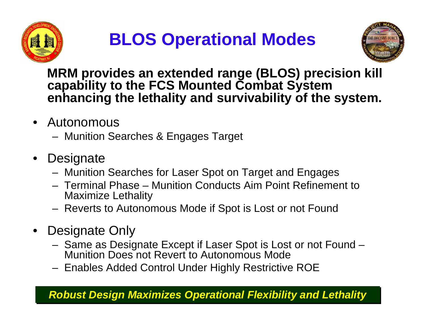

# **BLOS Operational Modes**



**MRM provides an extended range (BLOS) precision kill capability to the FCS Mounted Combat System enhancing the lethality and survivability of the system.**

- $\bullet$  Autonomous
	- Munition Searches & Engages Target
- $\bullet$ **Designate** 
	- Munition Searches for Laser Spot on Target and Engages
	- Terminal Phase Munition Conducts Aim Point Refinement to Maximize Lethality
	- Reverts to Autonomous Mode if Spot is Lost or not Found
- $\bullet$  Designate Only
	- Same as Designate Except if Laser Spot is Lost or not Found Munition Does not Revert to Autonomous Mode
	- Enables Added Control Under Highly Restrictive ROE

*Robust Design Maximizes Operati Robust Design Maximizes Operational Flexibility and Lethality onal Flexibility and Lethality*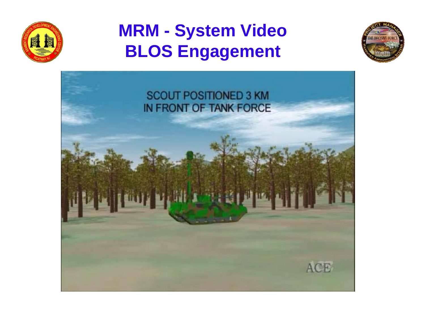

## **MRM - System Video BLOS Engagement**



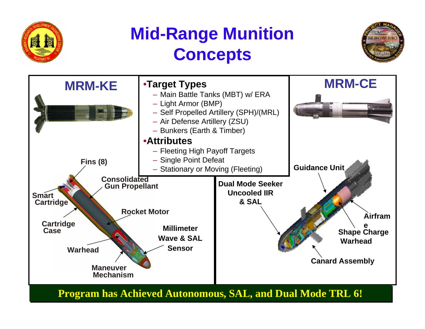

## **Mid-Range Munition Concepts**





**Program has Achieved Autonomous, SAL, and Dual Mode TRL 6!**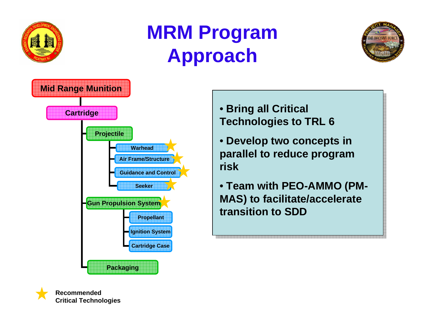

# **MRM Program Approach**





- **Bring all Critical Technologies to TRL 6**
- **Develop two concepts in parallel to reduce program risk**
- **Team with PEO-AMMO (PM-MAS) to facilitate/accelerate transition to SDD**

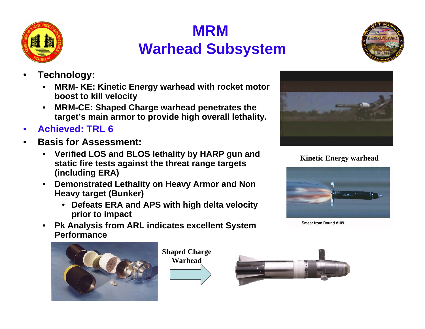

### **MRMWarhead Subsystem**



- • **Technology:**
	- $\bullet$  **MRM- KE: Kinetic Energy warhead with rocket motor boost to kill velocity**
	- $\bullet$  **MRM-CE: Shaped Charge warhead penetrates the target's main armor to provide high overall lethality.**
- •**Achieved: TRL 6**
- • **Basis for Assessment:**
	- $\bullet$  **Verified LOS and BLOS lethality by HARP gun and static fire tests against the threat range targets (including ERA)**
	- **Demonstrated Lethality on Heavy Armor and Non Heavy target (Bunker)** 
		- **Defeats ERA and APS with high delta velocity prior to impact**
	- $\bullet$  **Pk Analysis from ARL indicates excellent System Performance**









**Kinetic Energy warhead**



Smear from Round #109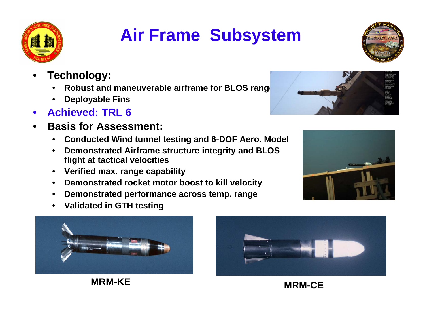

# **Air Frame Subsystem**



- • **Technology:**
	- •**Robust and maneuverable airframe for BLOS ranges**
	- $\bullet$ **Deployable Fins**
- •**Achieved: TRL 6**
- $\bullet$  **Basis for Assessment:**
	- •**Conducted Wind tunnel testing and 6-DOF Aero. Model**
	- $\bullet$  **Demonstrated Airframe structure integrity and BLOS flight at tactical velocities**
	- **Verified max. range capability**
	- $\bullet$ **Demonstrated rocket motor boost to kill velocity**
	- $\bullet$ **Demonstrated performance across temp. range**
	- **Validated in GTH testing**



**MRM-KE**



**MRM-CE**



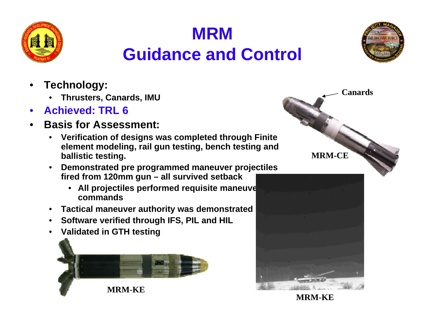





- • **Technology:**
	- •**Thrusters, Canards, IMU**
- •**Achieved: TRL 6**
- • **Basis for Assessment:**
	- • **Verification of designs was completed through Finite element modeling, rail gun testing, bench testing and ballistic testing.**
	- • **Demonstrated pre programmed maneuver projectiles fired from 120mm gun – all survived setback**
		- **All projectiles performed requisite maneuver commands**
	- •**Tactical maneuver authority was demonstrated**
	- •**Software verified through IFS, PIL and HIL**
	- $\bullet$ **Validated in GTH testing**





**MRM-KE**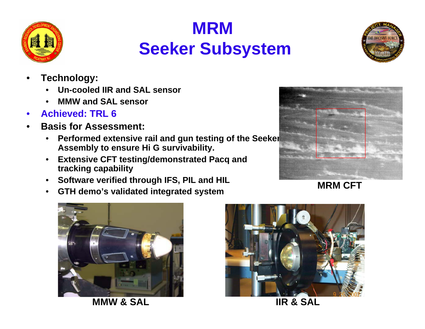

### **MRMSeeker Subsystem**



- • **Technology:**
	- •**Un-cooled IIR and SAL sensor**
	- •**MMW and SAL sensor**
- •**Achieved: TRL 6**
- • **Basis for Assessment:**
	- $\bullet$  **Performed extensive rail and gun testing of the Seeker Assembly to ensure Hi G survivability.**
	- • **Extensive CFT testing/demonstrated Pacq and tracking capability**
	- **Software verified through IFS, PIL and HIL**
	- $\bullet$ **GTH demo's validated integrated system**



**MRM CFT**



**MMW & SAL**



**IIR & SAL**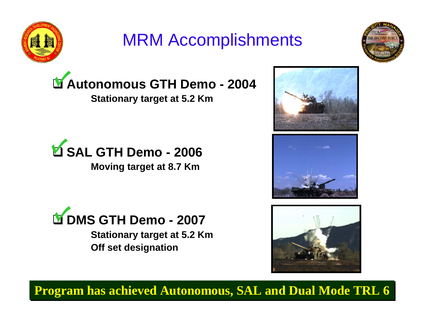

### MRM Accomplishments



#### **Autonomous GTH Demo - 2004 Stationary target at 5.2 Km**





**Stationary target at 5.2 Km Off set designation**







**Program has achieved Autonomous, SAL and Dual Mode TRL 6**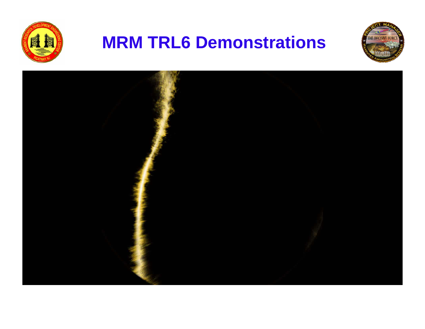

### **MRM TRL6 Demonstrations**